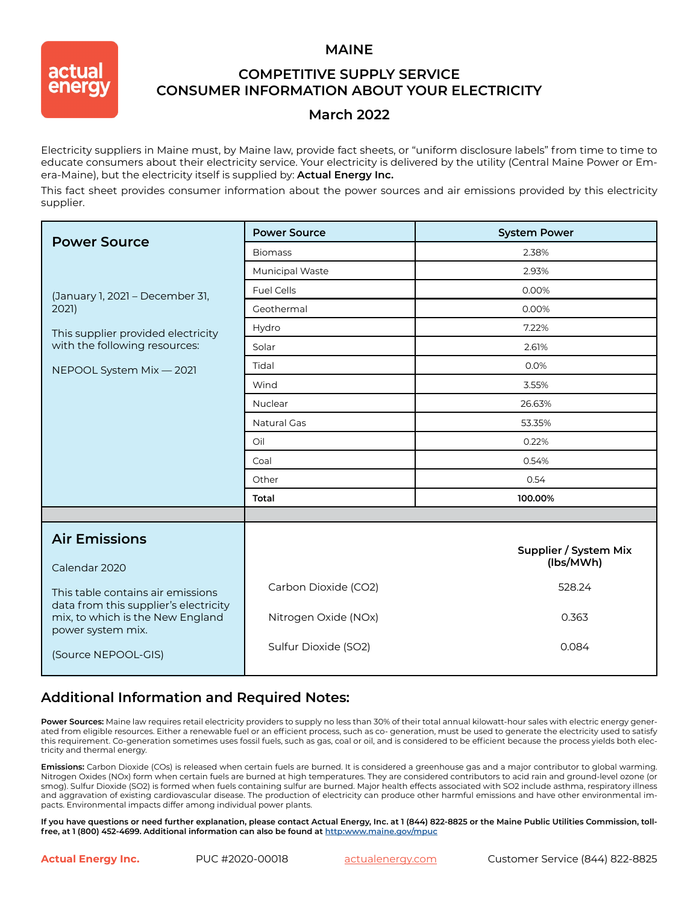#### **MAINE**



## **COMPETITIVE SUPPLY SERVICE CONSUMER INFORMATION ABOUT YOUR ELECTRICITY**

### **March 2022**

Electricity suppliers in Maine must, by Maine law, provide fact sheets, or "uniform disclosure labels" from time to time to educate consumers about their electricity service. Your electricity is delivered by the utility (Central Maine Power or Emera-Maine), but the electricity itself is supplied by: **Actual Energy Inc.**

This fact sheet provides consumer information about the power sources and air emissions provided by this electricity supplier.

| <b>Power Source</b>                                                                            | <b>Power Source</b>    | <b>System Power</b>   |
|------------------------------------------------------------------------------------------------|------------------------|-----------------------|
|                                                                                                | <b>Biomass</b>         | 2.38%                 |
|                                                                                                | <b>Municipal Waste</b> | 2.93%                 |
| (January 1, 2021 - December 31,<br>2021)                                                       | <b>Fuel Cells</b>      | 0.00%                 |
|                                                                                                | Geothermal             | 0.00%                 |
| This supplier provided electricity                                                             | Hydro                  | 7.22%                 |
| with the following resources:                                                                  | Solar                  | 2.61%                 |
| NEPOOL System Mix - 2021                                                                       | Tidal                  | 0.0%                  |
|                                                                                                | Wind                   | 3.55%                 |
|                                                                                                | Nuclear                | 26.63%                |
|                                                                                                | <b>Natural Gas</b>     | 53.35%                |
|                                                                                                | Oil                    | 0.22%                 |
|                                                                                                | Coal                   | 0.54%                 |
|                                                                                                | Other                  | 0.54                  |
|                                                                                                | Total                  | 100.00%               |
|                                                                                                |                        |                       |
| <b>Air Emissions</b>                                                                           |                        | Supplier / System Mix |
| Calendar 2020                                                                                  |                        | (lbs/MWh)             |
| This table contains air emissions                                                              | Carbon Dioxide (CO2)   | 528.24                |
| data from this supplier's electricity<br>mix, to which is the New England<br>power system mix. | Nitrogen Oxide (NOx)   | 0.363                 |
| (Source NEPOOL-GIS)                                                                            | Sulfur Dioxide (SO2)   | 0.084                 |

## **Additional Information and Required Notes:**

Power Sources: Maine law requires retail electricity providers to supply no less than 30% of their total annual kilowatt-hour sales with electric energy generated from eligible resources. Either a renewable fuel or an efficient process, such as co- generation, must be used to generate the electricity used to satisfy this requirement. Co-generation sometimes uses fossil fuels, such as gas, coal or oil, and is considered to be efficient because the process yields both electricity and thermal energy.

**Emissions:** Carbon Dioxide (COs) is released when certain fuels are burned. It is considered a greenhouse gas and a major contributor to global warming. Nitrogen Oxides (NOx) form when certain fuels are burned at high temperatures. They are considered contributors to acid rain and ground-level ozone (or smog). Sulfur Dioxide (SO2) is formed when fuels containing sulfur are burned. Major health effects associated with SO2 include asthma, respiratory illness and aggravation of existing cardiovascular disease. The production of electricity can produce other harmful emissions and have other environmental impacts. Environmental impacts differ among individual power plants.

**If you have questions or need further explanation, please contact Actual Energy, Inc. at 1 (844) 822-8825 or the Maine Public Utilities Commission, tollfree, at 1 (800) 452-4699. Additional information can also be found at <http:www.maine.gov/mpuc>**